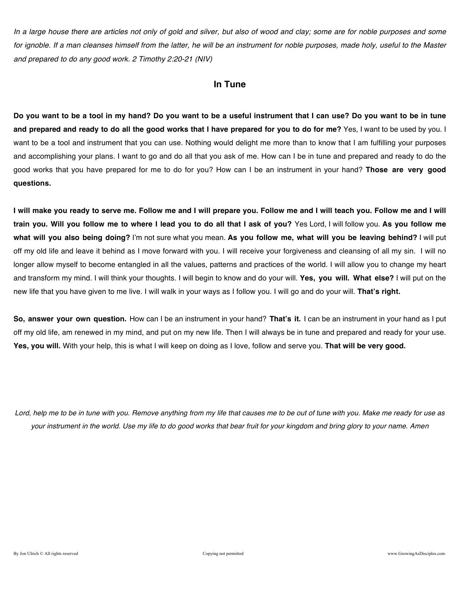*In a large house there are articles not only of gold and silver, but also of wood and clay; some are for noble purposes and some for ignoble. If a man cleanses himself from the latter, he will be an instrument for noble purposes, made holy, useful to the Master and prepared to do any good work. 2 Timothy 2:20-21 (NIV)* 

## **In Tune**

**Do you want to be a tool in my hand? Do you want to be a useful instrument that I can use? Do you want to be in tune and prepared and ready to do all the good works that I have prepared for you to do for me?** Yes, I want to be used by you. I want to be a tool and instrument that you can use. Nothing would delight me more than to know that I am fulfilling your purposes and accomplishing your plans. I want to go and do all that you ask of me. How can I be in tune and prepared and ready to do the good works that you have prepared for me to do for you? How can I be an instrument in your hand? **Those are very good questions.**

**I will make you ready to serve me. Follow me and I will prepare you. Follow me and I will teach you. Follow me and I will train you. Will you follow me to where I lead you to do all that I ask of you?** Yes Lord, I will follow you. **As you follow me what will you also being doing?** I'm not sure what you mean. **As you follow me, what will you be leaving behind?** I will put off my old life and leave it behind as I move forward with you. I will receive your forgiveness and cleansing of all my sin. I will no longer allow myself to become entangled in all the values, patterns and practices of the world. I will allow you to change my heart and transform my mind. I will think your thoughts. I will begin to know and do your will. **Yes, you will. What else?** I will put on the new life that you have given to me live. I will walk in your ways as I follow you. I will go and do your will. **That's right.**

**So, answer your own question.** How can I be an instrument in your hand? **That's it.** I can be an instrument in your hand as I put off my old life, am renewed in my mind, and put on my new life. Then I will always be in tune and prepared and ready for your use. **Yes, you will.** With your help, this is what I will keep on doing as I love, follow and serve you. **That will be very good.**

Lord, help me to be in tune with you. Remove anything from my life that causes me to be out of tune with you. Make me ready for use as *your instrument in the world. Use my life to do good works that bear fruit for your kingdom and bring glory to your name. Amen*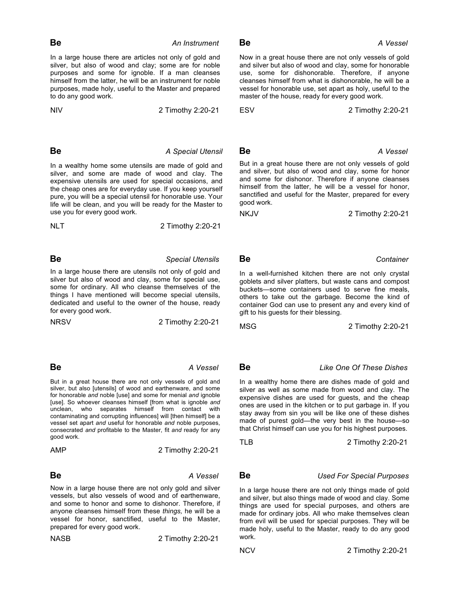**Be** An Instrument

In a large house there are articles not only of gold and silver, but also of wood and clay; some are for noble purposes and some for ignoble. If a man cleanses himself from the latter, he will be an instrument for noble purposes, made holy, useful to the Master and prepared to do any good work.

NIV 2 Timothy 2:20-21

**Be** *A Special Utensil*

In a wealthy home some utensils are made of gold and silver, and some are made of wood and clay. The expensive utensils are used for special occasions, and the cheap ones are for everyday use. If you keep yourself pure, you will be a special utensil for honorable use. Your life will be clean, and you will be ready for the Master to use you for every good work.

NLT 2 Timothy 2:20-21

## **Be** Special Utensils

In a large house there are utensils not only of gold and silver but also of wood and clay, some for special use, some for ordinary. All who cleanse themselves of the things I have mentioned will become special utensils, dedicated and useful to the owner of the house, ready for every good work.

NRSV 2 Timothy 2:20-21

### **Be** *A Vessel*

But in a great house there are not only vessels of gold and silver, but also [utensils] of wood and earthenware, and some for honorable *and* noble [use] and some for menial *and* ignoble [use]. So whoever cleanses himself [from what is ignoble *and* unclean, who separates himself from contact with contaminating and corrupting influences] will [then himself] be a vessel set apart *and* useful for honorable *and* noble purposes, consecrated *and* profitable to the Master, fit *and* ready for any good work.

| 2 Timothy 2:20-21 |
|-------------------|
|                   |

### **Be** *A Vessel*

Now in a large house there are not only gold and silver vessels, but also vessels of wood and of earthenware, and some to honor and some to dishonor. Therefore, if anyone cleanses himself from these *things,* he will be a vessel for honor, sanctified, useful to the Master, prepared for every good work.

NASB 2 Timothy 2:20-21

Now in a great house there are not only vessels of gold and silver but also of wood and clay, some for honorable use, some for dishonorable. Therefore, if anyone cleanses himself from what is dishonorable, he will be a vessel for honorable use, set apart as holy, useful to the master of the house, ready for every good work.

ESV 2 Timothy 2:20-21

 **Be** *A Vessel*

But in a great house there are not only vessels of gold and silver, but also of wood and clay, some for honor and some for dishonor. Therefore if anyone cleanses himself from the latter, he will be a vessel for honor, sanctified and useful for the Master, prepared for every good work.

NKJV 2 Timothy 2:20-21

### **Be** *Container*

In a well-furnished kitchen there are not only crystal goblets and silver platters, but waste cans and compost buckets—some containers used to serve fine meals, others to take out the garbage. Become the kind of container God can use to present any and every kind of gift to his guests for their blessing.

MSG 2 Timothy 2:20-21

### **Be** *Like One Of These Dishes*

In a wealthy home there are dishes made of gold and silver as well as some made from wood and clay. The expensive dishes are used for guests, and the cheap ones are used in the kitchen or to put garbage in. If you stay away from sin you will be like one of these dishes made of purest gold—the very best in the house—so that Christ himself can use you for his highest purposes.

TLB 2 Timothy 2:20-21

 **Be** *Used For Special Purposes*

In a large house there are not only things made of gold and silver, but also things made of wood and clay. Some things are used for special purposes, and others are made for ordinary jobs. All who make themselves clean from evil will be used for special purposes. They will be made holy, useful to the Master, ready to do any good work.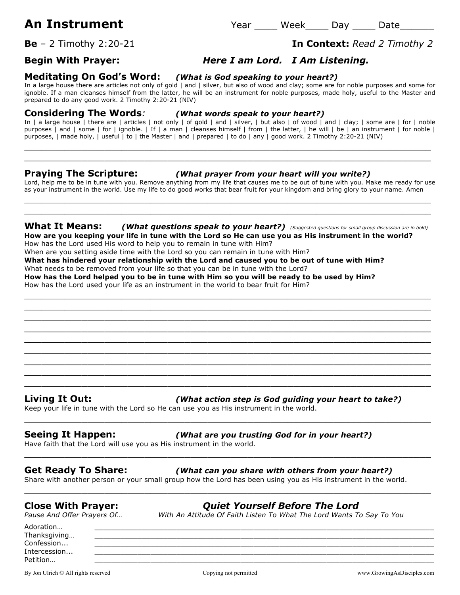## **Begin With Prayer:** *Here I am Lord. I Am Listening.*

## **Meditating On God's Word:** *(What is God speaking to your heart?)*

In a large house there are articles not only of gold | and | silver, but also of wood and clay; some are for noble purposes and some for ignoble. If a man cleanses himself from the latter, he will be an instrument for noble purposes, made holy, useful to the Master and prepared to do any good work. 2 Timothy 2:20-21 (NIV)

**Considering The Words***: (What words speak to your heart?)*

In | a large house | there are | articles | not only | of gold | and | silver, | but also | of wood | and | clay; | some are | for | noble purposes | and | some | for | ignoble. | If | a man | cleanses himself | from | the latter, | he will | be | an instrument | for noble | purposes, | made holy, | useful | to | the Master | and | prepared | to do | any | good work. 2 Timothy 2:20-21 (NIV)

 $\_$  , and the set of the set of the set of the set of the set of the set of the set of the set of the set of the set of the set of the set of the set of the set of the set of the set of the set of the set of the set of th  $\_$  , and the set of the set of the set of the set of the set of the set of the set of the set of the set of the set of the set of the set of the set of the set of the set of the set of the set of the set of the set of th

## **Praying The Scripture:** *(What prayer from your heart will you write?)*

Lord, help me to be in tune with you. Remove anything from my life that causes me to be out of tune with you. Make me ready for use as your instrument in the world. Use my life to do good works that bear fruit for your kingdom and bring glory to your name. Amen  $\_$  , and the set of the set of the set of the set of the set of the set of the set of the set of the set of the set of the set of the set of the set of the set of the set of the set of the set of the set of the set of th

### **What It Means:** *(What questions speak to your heart?) (Suggested questions for small group discussion are in bold)* **How are you keeping your life in tune with the Lord so He can use you as His instrument in the world?** How has the Lord used His word to help you to remain in tune with Him?

 $\_$  , and the set of the set of the set of the set of the set of the set of the set of the set of the set of the set of the set of the set of the set of the set of the set of the set of the set of the set of the set of th  $\_$  , and the set of the set of the set of the set of the set of the set of the set of the set of the set of the set of the set of the set of the set of the set of the set of the set of the set of the set of the set of th  $\_$  , and the set of the set of the set of the set of the set of the set of the set of the set of the set of the set of the set of the set of the set of the set of the set of the set of the set of the set of the set of th  $\_$  , and the set of the set of the set of the set of the set of the set of the set of the set of the set of the set of the set of the set of the set of the set of the set of the set of the set of the set of the set of th  $\_$  , and the set of the set of the set of the set of the set of the set of the set of the set of the set of the set of the set of the set of the set of the set of the set of the set of the set of the set of the set of th \_\_\_\_\_\_\_\_\_\_\_\_\_\_\_\_\_\_\_\_\_\_\_\_\_\_\_\_\_\_\_\_\_\_\_\_\_\_\_\_\_\_\_\_\_\_\_\_\_\_\_\_\_\_\_\_\_\_\_\_\_\_\_\_\_\_\_\_\_\_\_ \_\_\_\_\_\_\_\_\_\_\_\_\_\_\_\_\_\_\_\_\_\_\_\_\_\_\_\_\_\_\_\_\_\_\_\_\_\_\_\_\_\_\_\_\_\_\_\_\_\_\_\_\_\_\_\_\_\_\_\_\_\_\_\_\_\_\_\_\_\_\_ \_\_\_\_\_\_\_\_\_\_\_\_\_\_\_\_\_\_\_\_\_\_\_\_\_\_\_\_\_\_\_\_\_\_\_\_\_\_\_\_\_\_\_\_\_\_\_\_\_\_\_\_\_\_\_\_\_\_\_\_\_\_\_\_\_\_\_\_\_\_\_ \_\_\_\_\_\_\_\_\_\_\_\_\_\_\_\_\_\_\_\_\_\_\_\_\_\_\_\_\_\_\_\_\_\_\_\_\_\_\_\_\_\_\_\_\_\_\_\_\_\_\_\_\_\_\_\_\_\_\_\_\_\_\_\_\_\_\_\_\_\_\_

\_\_\_\_\_\_\_\_\_\_\_\_\_\_\_\_\_\_\_\_\_\_\_\_\_\_\_\_\_\_\_\_\_\_\_\_\_\_\_\_\_\_\_\_\_\_\_\_\_\_\_\_\_\_\_\_\_\_\_\_\_\_\_\_\_\_\_\_\_\_\_

When are you setting aside time with the Lord so you can remain in tune with Him?

**What has hindered your relationship with the Lord and caused you to be out of tune with Him?** What needs to be removed from your life so that you can be in tune with the Lord?

**How has the Lord helped you to be in tune with Him so you will be ready to be used by Him?** How has the Lord used your life as an instrument in the world to bear fruit for Him?

## **Living It Out:** *(What action step is God guiding your heart to take?)*

Keep your life in tune with the Lord so He can use you as His instrument in the world.

# **Seeing It Happen:** *(What are you trusting God for in your heart?)*

Have faith that the Lord will use you as His instrument in the world.

## **Get Ready To Share:** *(What can you share with others from your heart?)*

Share with another person or your small group how the Lord has been using you as His instrument in the world.

 $\_$  , and the set of the set of the set of the set of the set of the set of the set of the set of the set of the set of the set of the set of the set of the set of the set of the set of the set of the set of the set of th

 $\_$  , and the set of the set of the set of the set of the set of the set of the set of the set of the set of the set of the set of the set of the set of the set of the set of the set of the set of the set of the set of th

 $\_$  , and the set of the set of the set of the set of the set of the set of the set of the set of the set of the set of the set of the set of the set of the set of the set of the set of the set of the set of the set of th

Adoration… \_\_\_\_\_\_\_\_\_\_\_\_\_\_\_\_\_\_\_\_\_\_\_\_\_\_\_\_\_\_\_\_\_\_\_\_\_\_\_\_\_\_\_\_\_\_\_\_\_\_\_\_\_\_\_\_\_\_\_\_\_\_\_\_\_\_\_\_\_\_\_\_\_\_\_\_\_\_\_

## **Close With Prayer:** *Quiet Yourself Before The Lord*

*Pause And Offer Prayers Of… With An Attitude Of Faith Listen To What The Lord Wants To Say To You*

Thanksgiving... Confession... \_\_\_\_\_\_\_\_\_\_\_\_\_\_\_\_\_\_\_\_\_\_\_\_\_\_\_\_\_\_\_\_\_\_\_\_\_\_\_\_\_\_\_\_\_\_\_\_\_\_\_\_\_\_\_\_\_\_\_\_\_\_\_\_\_\_\_\_\_\_\_\_\_\_\_\_\_\_\_ Intercession... \_\_\_\_\_\_\_\_\_\_\_\_\_\_\_\_\_\_\_\_\_\_\_\_\_\_\_\_\_\_\_\_\_\_\_\_\_\_\_\_\_\_\_\_\_\_\_\_\_\_\_\_\_\_\_\_\_\_\_\_\_\_\_\_\_\_\_\_\_\_\_\_\_\_\_\_\_\_\_ Petition… \_\_\_\_\_\_\_\_\_\_\_\_\_\_\_\_\_\_\_\_\_\_\_\_\_\_\_\_\_\_\_\_\_\_\_\_\_\_\_\_\_\_\_\_\_\_\_\_\_\_\_\_\_\_\_\_\_\_\_\_\_\_\_\_\_\_\_\_\_\_\_\_\_\_\_\_\_\_\_

By Jon Ulrich © All rights reserved compared copying not permitted www.GrowingAsDisciples.com

# **Be** – 2 Timothy 2:20-21 **In Context:** *Read 2 Timothy 2*